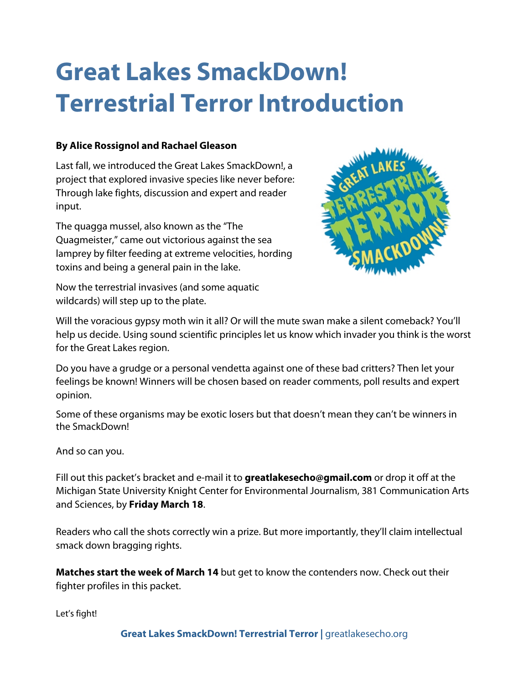# **Great Lakes SmackDown! Terrestrial Terror Introduction**

## **By Alice Rossignol and Rachael Gleason**

Last fall, we introduced the Great Lakes SmackDown!, a project that explored invasive species like never before: Through lake fights, discussion and expert and reader input.

The quagga mussel, also known as the "The Quagmeister," came out victorious against the sea lamprey by filter feeding at extreme velocities, hording toxins and being a general pain in the lake.

Now the terrestrial invasives (and some aquatic wildcards) will step up to the plate.



Will the voracious gypsy moth win it all? Or will the mute swan make a silent comeback? You'll help us decide. Using sound scientific principles let us know which invader you think is the worst for the Great Lakes region.

Do you have a grudge or a personal vendetta against one of these bad critters? Then let your feelings be known! Winners will be chosen based on reader comments, poll results and expert opinion.

Some of these organisms may be exotic losers but that doesn't mean they can't be winners in the SmackDown!

And so can you.

Fill out this packet's bracket and e-mail it to **greatlakesecho@gmail.com** or drop it off at the Michigan State University Knight Center for Environmental Journalism, 381 Communication Arts and Sciences, by **Friday March 18**.

Readers who call the shots correctly win a prize. But more importantly, they'll claim intellectual smack down bragging rights.

**Matches start the week of March 14** but get to know the contenders now. Check out their fighter profiles in this packet.

Let's fight!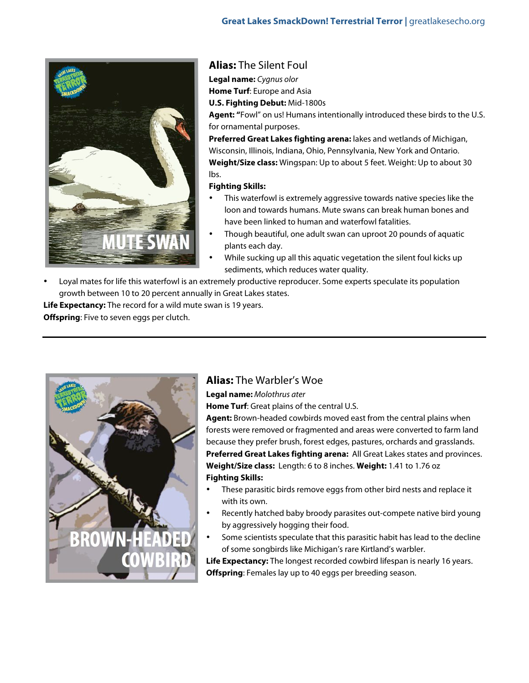

## **Alias:** The Silent Foul

**Legal name:** Cygnus olor

**Home Turf**: Europe and Asia

**U.S. Fighting Debut:** Mid-1800s

**Agent: "**Fowl" on us! Humans intentionally introduced these birds to the U.S. for ornamental purposes.

**Preferred Great Lakes fighting arena:** lakes and wetlands of Michigan, Wisconsin, Illinois, Indiana, Ohio, Pennsylvania, New York and Ontario. **Weight/Size class:** Wingspan: Up to about 5 feet. Weight: Up to about 30 lbs.

#### **Fighting Skills:**

- This waterfowl is extremely aggressive towards native species like the loon and towards humans. Mute swans can break human bones and have been linked to human and waterfowl fatalities.
- Though beautiful, one adult swan can uproot 20 pounds of aquatic plants each day.
- While sucking up all this aquatic vegetation the silent foul kicks up sediments, which reduces water quality.
- Loyal mates for life this waterfowl is an extremely productive reproducer. Some experts speculate its population growth between 10 to 20 percent annually in Great Lakes states.

**Life Expectancy:** The record for a wild mute swan is 19 years.

**Offspring**: Five to seven eggs per clutch.



## **Alias:** The Warbler's Woe

**Legal name:** Molothrus ater

**Home Turf**: Great plains of the central U.S.

**Agent:** Brown-headed cowbirds moved east from the central plains when forests were removed or fragmented and areas were converted to farm land because they prefer brush, forest edges, pastures, orchards and grasslands. **Preferred Great Lakes fighting arena:** All Great Lakes states and provinces. **Weight/Size class:** Length: 6 to 8 inches. **Weight:** 1.41 to 1.76 oz **Fighting Skills:**

- These parasitic birds remove eggs from other bird nests and replace it with its own.
- Recently hatched baby broody parasites out-compete native bird young by aggressively hogging their food.
- Some scientists speculate that this parasitic habit has lead to the decline of some songbirds like Michigan's rare Kirtland's warbler.

**Life Expectancy:** The longest recorded cowbird lifespan is nearly 16 years. **Offspring**: Females lay up to 40 eggs per breeding season.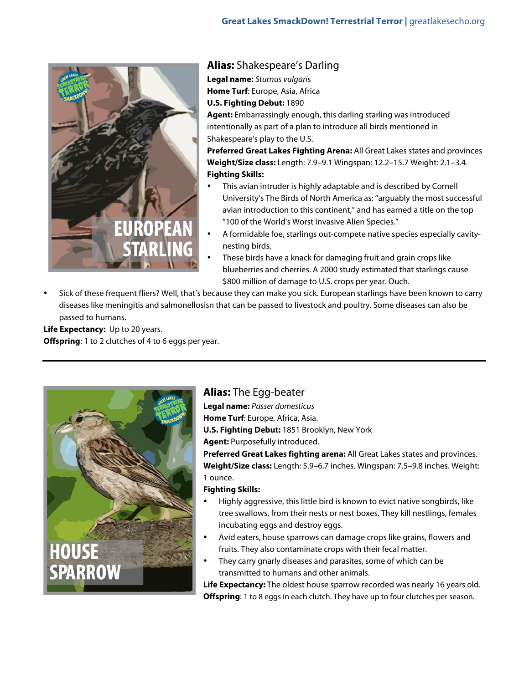

**Alias:** Shakespeare's Darling

**Legal name:** Sturnus vulgaris **Home Turf**: Europe, Asia, Africa

**U.S. Fighting Debut:** 1890

**Agent:** Embarrassingly enough, this darling starling was introduced intentionally as part of a plan to introduce all birds mentioned in Shakespeare's play to the U.S.

**Preferred Great Lakes Fighting Arena:** All Great Lakes states and provinces **Weight/Size class:** Length: 7.9–9.1 Wingspan: 12.2–15.7 Weight: 2.1–3.4. **Fighting Skills:**

- This avian intruder is highly adaptable and is described by Cornell University's The Birds of North America as: "arguably the most successful avian introduction to this continent," and has earned a title on the top "100 of the World's Worst Invasive Alien Species."
- A formidable foe, starlings out-compete native species especially cavitynesting birds.
- These birds have a knack for damaging fruit and grain crops like blueberries and cherries. A 2000 study estimated that starlings cause \$800 million of damage to U.S. crops per year. Ouch.
- Sick of these frequent fliers? Well, that's because they can make you sick. European starlings have been known to carry diseases like meningitis and salmonellosisn that can be passed to livestock and poultry. Some diseases can also be passed to humans.

**Life Expectancy:** Up to 20 years. **Offspring**: 1 to 2 clutches of 4 to 6 eggs per year.



## **Alias:** The Egg-beater

**Legal name:** Passer domesticus **Home Turf**: Europe, Africa, Asia. **U.S. Fighting Debut:** 1851 Brooklyn, New York

**Agent:** Purposefully introduced.

**Preferred Great Lakes fighting arena:** All Great Lakes states and provinces. **Weight/Size class:** Length: 5.9–6.7 inches. Wingspan: 7.5–9.8 inches. Weight: 1 ounce.

## **Fighting Skills:**

- Highly aggressive, this little bird is known to evict native songbirds, like tree swallows, from their nests or nest boxes. They kill nestlings, females incubating eggs and destroy eggs.
- Avid eaters, house sparrows can damage crops like grains, flowers and fruits. They also contaminate crops with their fecal matter.
- They carry gnarly diseases and parasites, some of which can be transmitted to humans and other animals.

**Life Expectancy:** The oldest house sparrow recorded was nearly 16 years old. **Offspring**: 1 to 8 eggs in each clutch. They have up to four clutches per season.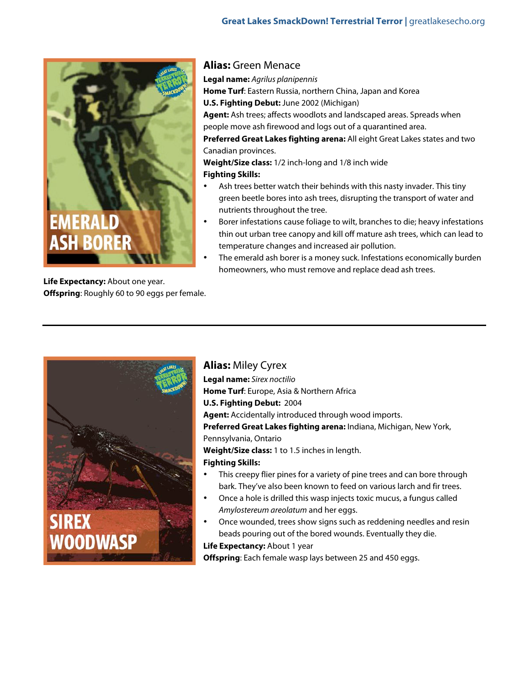

**Life Expectancy:** About one year. **Offspring**: Roughly 60 to 90 eggs per female.

#### **Alias:** Green Menace

**Legal name:** Agrilus planipennis **Home Turf**: Eastern Russia, northern China, Japan and Korea **U.S. Fighting Debut:** June 2002 (Michigan) **Agent:** Ash trees; affects woodlots and landscaped areas. Spreads when people move ash firewood and logs out of a quarantined area. **Preferred Great Lakes fighting arena:** All eight Great Lakes states and two Canadian provinces. **Weight/Size class:** 1/2 inch-long and 1/8 inch wide

#### **Fighting Skills:**

- Ash trees better watch their behinds with this nasty invader. This tiny green beetle bores into ash trees, disrupting the transport of water and nutrients throughout the tree.
- Borer infestations cause foliage to wilt, branches to die; heavy infestations thin out urban tree canopy and kill off mature ash trees, which can lead to temperature changes and increased air pollution.
- The emerald ash borer is a money suck. Infestations economically burden homeowners, who must remove and replace dead ash trees.



**Alias:** Miley Cyrex **Legal name:** Sirex noctilio **Home Turf**: Europe, Asia & Northern Africa **U.S. Fighting Debut:** 2004 **Agent:** Accidentally introduced through wood imports. **Preferred Great Lakes fighting arena:** Indiana, Michigan, New York, Pennsylvania, Ontario **Weight/Size class:** 1 to 1.5 inches in length. **Fighting Skills:** This creepy flier pines for a variety of pine trees and can bore through

- bark. They've also been known to feed on various larch and fir trees.
- Once a hole is drilled this wasp injects toxic mucus, a fungus called Amylostereum areolatum and her eggs.
- Once wounded, trees show signs such as reddening needles and resin beads pouring out of the bored wounds. Eventually they die. **Life Expectancy:** About 1 year

**Offspring**: Each female wasp lays between 25 and 450 eggs.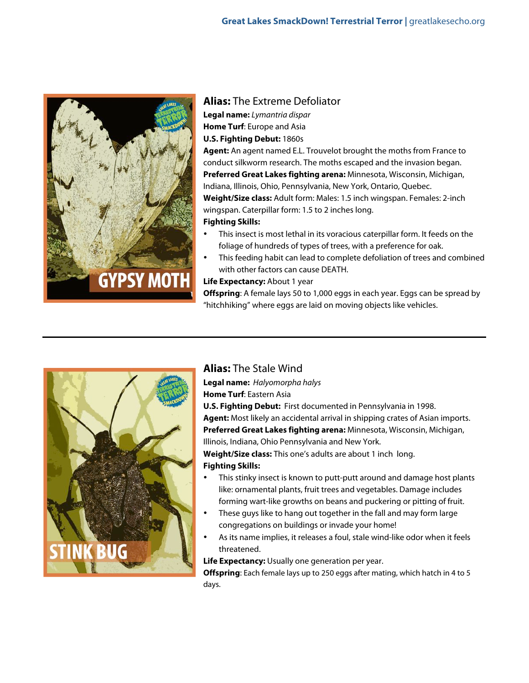

## **Alias:** The Extreme Defoliator

**Legal name:** Lymantria dispar **Home Turf**: Europe and Asia **U.S. Fighting Debut:** 1860s

**Agent:** An agent named E.L. Trouvelot brought the moths from France to conduct silkworm research. The moths escaped and the invasion began. **Preferred Great Lakes fighting arena:** Minnesota, Wisconsin, Michigan, Indiana, Illinois, Ohio, Pennsylvania, New York, Ontario, Quebec. **Weight/Size class:** Adult form: Males: 1.5 inch wingspan. Females: 2-inch wingspan. Caterpillar form: 1.5 to 2 inches long. **Fighting Skills:**

- This insect is most lethal in its voracious caterpillar form. It feeds on the foliage of hundreds of types of trees, with a preference for oak.
- This feeding habit can lead to complete defoliation of trees and combined with other factors can cause DEATH.

#### **Life Expectancy: About 1 year**

**Offspring**: A female lays 50 to 1,000 eggs in each year. Eggs can be spread by "hitchhiking" where eggs are laid on moving objects like vehicles.



## **Alias:** The Stale Wind

**Legal name:** Halyomorpha halys **Home Turf**: Eastern Asia

**U.S. Fighting Debut:** First documented in Pennsylvania in 1998. **Agent:** Most likely an accidental arrival in shipping crates of Asian imports. **Preferred Great Lakes fighting arena:** Minnesota, Wisconsin, Michigan, Illinois, Indiana, Ohio Pennsylvania and New York.

**Weight/Size class:** This one's adults are about 1 inch long. **Fighting Skills:**

- This stinky insect is known to putt-putt around and damage host plants like: ornamental plants, fruit trees and vegetables. Damage includes forming wart-like growths on beans and puckering or pitting of fruit.
- These guys like to hang out together in the fall and may form large congregations on buildings or invade your home!
- As its name implies, it releases a foul, stale wind-like odor when it feels threatened.

**Life Expectancy:** Usually one generation per year.

**Offspring**: Each female lays up to 250 eggs after mating, which hatch in 4 to 5 days.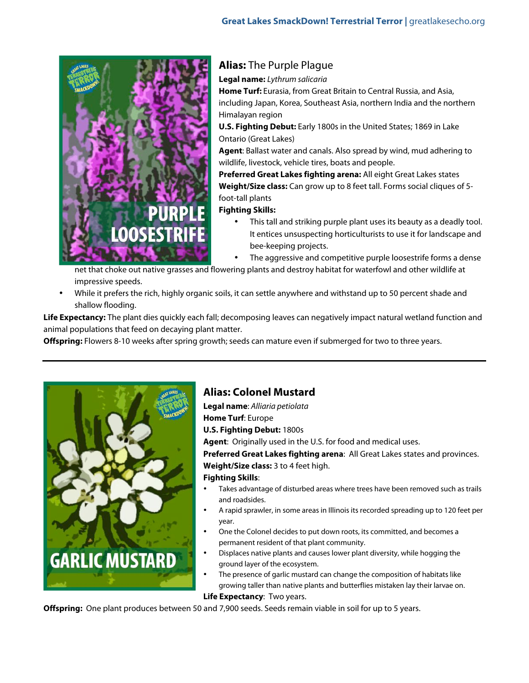

## **Alias:** The Purple Plague

**Legal name:** Lythrum salicaria

**Home Turf:** Eurasia, from Great Britain to Central Russia, and Asia, including Japan, Korea, Southeast Asia, northern India and the northern Himalayan region

**U.S. Fighting Debut:** Early 1800s in the United States; 1869 in Lake Ontario (Great Lakes)

**Agent**: Ballast water and canals. Also spread by wind, mud adhering to wildlife, livestock, vehicle tires, boats and people.

**Preferred Great Lakes fighting arena:** All eight Great Lakes states **Weight/Size class:** Can grow up to 8 feet tall. Forms social cliques of 5 foot-tall plants

**Fighting Skills:**

This tall and striking purple plant uses its beauty as a deadly tool. It entices unsuspecting horticulturists to use it for landscape and bee-keeping projects.

The aggressive and competitive purple loosestrife forms a dense

net that choke out native grasses and flowering plants and destroy habitat for waterfowl and other wildlife at impressive speeds.

• While it prefers the rich, highly organic soils, it can settle anywhere and withstand up to 50 percent shade and shallow flooding.

**Life Expectancy:** The plant dies quickly each fall; decomposing leaves can negatively impact natural wetland function and animal populations that feed on decaying plant matter.

**Offspring:** Flowers 8-10 weeks after spring growth; seeds can mature even if submerged for two to three years.



## **Alias: Colonel Mustard**

**Legal name**: Alliaria petiolata **Home Turf**: Europe **U.S. Fighting Debut:** 1800s

**Agent**: Originally used in the U.S. for food and medical uses.

**Preferred Great Lakes fighting arena**: All Great Lakes states and provinces. **Weight/Size class:** 3 to 4 feet high.

#### **Fighting Skills**:

- Takes advantage of disturbed areas where trees have been removed such as trails and roadsides.
- A rapid sprawler, in some areas in Illinois its recorded spreading up to 120 feet per year.
- One the Colonel decides to put down roots, its committed, and becomes a permanent resident of that plant community.
- Displaces native plants and causes lower plant diversity, while hogging the ground layer of the ecosystem.
- The presence of garlic mustard can change the composition of habitats like growing taller than native plants and butterflies mistaken lay their larvae on.

**Life Expectancy**: Two years.

**Offspring:** One plant produces between 50 and 7,900 seeds. Seeds remain viable in soil for up to 5 years.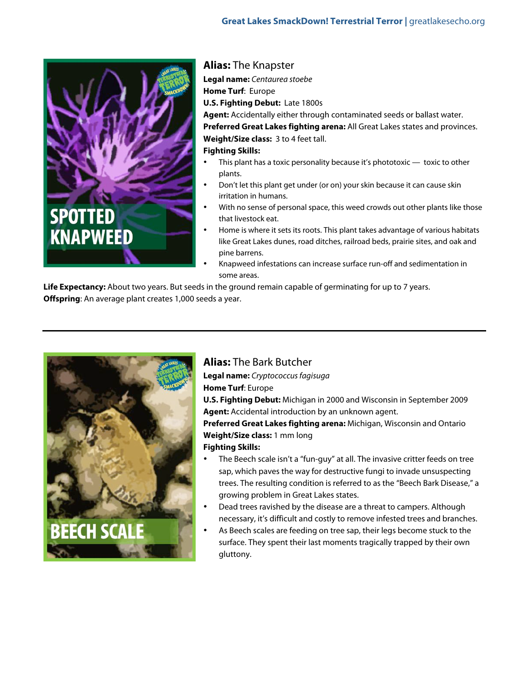

## **Alias:** The Knapster

**Legal name:** Centaurea stoebe **Home Turf**: Europe **U.S. Fighting Debut:** Late 1800s **Agent:** Accidentally either through contaminated seeds or ballast water. **Preferred Great Lakes fighting arena:** All Great Lakes states and provinces. **Weight/Size class:** 3 to 4 feet tall. **Fighting Skills:**

- This plant has a toxic personality because it's phototoxic  $-$  toxic to other plants.
- Don't let this plant get under (or on) your skin because it can cause skin irritation in humans.
- With no sense of personal space, this weed crowds out other plants like those that livestock eat.
- Home is where it sets its roots. This plant takes advantage of various habitats like Great Lakes dunes, road ditches, railroad beds, prairie sites, and oak and pine barrens.
- Knapweed infestations can increase surface run-off and sedimentation in some areas.

**Life Expectancy:** About two years. But seeds in the ground remain capable of germinating for up to 7 years. **Offspring**: An average plant creates 1,000 seeds a year.



## **Alias:** The Bark Butcher

**Legal name:** Cryptococcus fagisuga **Home Turf**: Europe **U.S. Fighting Debut:** Michigan in 2000 and Wisconsin in September 2009 **Agent:** Accidental introduction by an unknown agent. **Preferred Great Lakes fighting arena:** Michigan, Wisconsin and Ontario **Weight/Size class:** 1 mm long

#### **Fighting Skills:**

- The Beech scale isn't a "fun-guy" at all. The invasive critter feeds on tree sap, which paves the way for destructive fungi to invade unsuspecting trees. The resulting condition is referred to as the "Beech Bark Disease," a growing problem in Great Lakes states.
- Dead trees ravished by the disease are a threat to campers. Although necessary, it's difficult and costly to remove infested trees and branches.
- As Beech scales are feeding on tree sap, their legs become stuck to the surface. They spent their last moments tragically trapped by their own gluttony.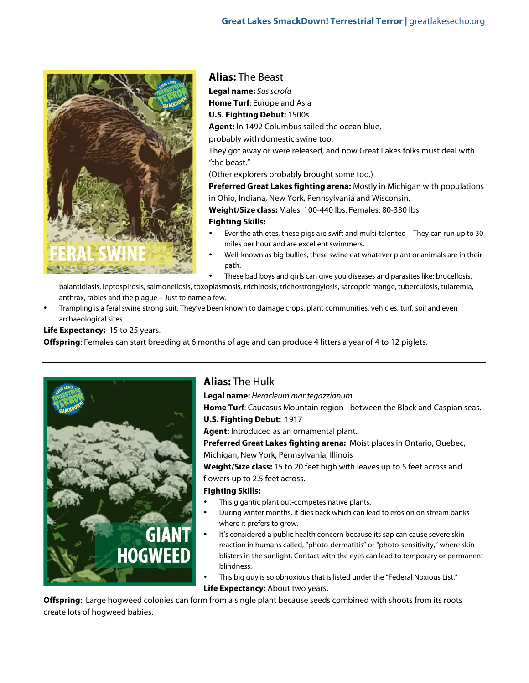

**Alias:** The Beast **Legal name:** Sus scrofa **Home Turf**: Europe and Asia **U.S. Fighting Debut:** 1500s **Agent:** In 1492 Columbus sailed the ocean blue, probably with domestic swine too. They got away or were released, and now Great Lakes folks must deal with "the beast." (Other explorers probably brought some too.) **Preferred Great Lakes fighting arena:** Mostly in Michigan with populations in Ohio, Indiana, New York, Pennsylvania and Wisconsin. **Weight/Size class:** Males: 100-440 lbs. Females: 80-330 lbs.

#### **Fighting Skills:**

- Ever the athletes, these pigs are swift and multi-talented They can run up to 30 miles per hour and are excellent swimmers.
- Well-known as big bullies, these swine eat whatever plant or animals are in their path.
	- These bad boys and girls can give you diseases and parasites like: brucellosis,

balantidiasis, leptospirosis, salmonellosis, toxoplasmosis, trichinosis, trichostrongylosis, sarcoptic mange, tuberculosis, tularemia, anthrax, rabies and the plague – Just to name a few.

• Trampling is a feral swine strong suit. They've been known to damage crops, plant communities, vehicles, turf, soil and even archaeological sites.

**Life Expectancy:** 15 to 25 years.

**Offspring**: Females can start breeding at 6 months of age and can produce 4 litters a year of 4 to 12 piglets.



## **Alias:** The Hulk

**Legal name:** Heracleum mantegazzianum **Home Turf**: Caucasus Mountain region - between the Black and Caspian seas. **U.S. Fighting Debut:** 1917

**Agent:** Introduced as an ornamental plant.

**Preferred Great Lakes fighting arena:** Moist places in Ontario, Quebec, Michigan, New York, Pennsylvania, Illinois

**Weight/Size class:** 15 to 20 feet high with leaves up to 5 feet across and flowers up to 2.5 feet across.

#### **Fighting Skills:**

- This gigantic plant out-competes native plants.
- During winter months, it dies back which can lead to erosion on stream banks where it prefers to grow.
- It's considered a public health concern because its sap can cause severe skin reaction in humans called, "photo-dermatitis" or "photo-sensitivity," where skin blisters in the sunlight. Contact with the eyes can lead to temporary or permanent blindness.
- This big guy is so obnoxious that is listed under the "Federal Noxious List." **Life Expectancy: About two years.**

**Offspring**: Large hogweed colonies can form from a single plant because seeds combined with shoots from its roots create lots of hogweed babies.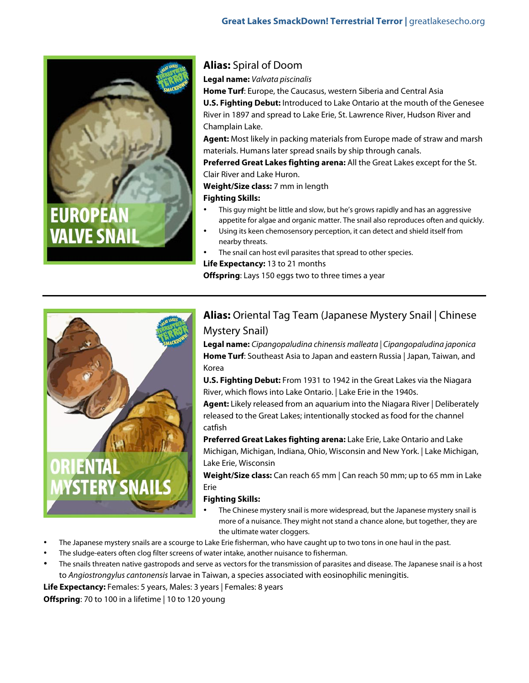

## **Alias:** Spiral of Doom

**Legal name:** Valvata piscinalis

**Home Turf**: Europe, the Caucasus, western Siberia and Central Asia **U.S. Fighting Debut:** Introduced to Lake Ontario at the mouth of the Genesee River in 1897 and spread to Lake Erie, St. Lawrence River, Hudson River and Champlain Lake.

**Agent:** Most likely in packing materials from Europe made of straw and marsh materials. Humans later spread snails by ship through canals.

**Preferred Great Lakes fighting arena:** All the Great Lakes except for the St. Clair River and Lake Huron.

**Weight/Size class:** 7 mm in length

#### **Fighting Skills:**

- This guy might be little and slow, but he's grows rapidly and has an aggressive appetite for algae and organic matter. The snail also reproduces often and quickly.
- Using its keen chemosensory perception, it can detect and shield itself from nearby threats.
- The snail can host evil parasites that spread to other species.

**Life Expectancy:** 13 to 21 months

**Offspring**: Lays 150 eggs two to three times a year



## **Alias:** Oriental Tag Team (Japanese Mystery Snail | Chinese Mystery Snail)

**Legal name:** Cipangopaludina chinensis malleata | Cipangopaludina japonica **Home Turf**: Southeast Asia to Japan and eastern Russia | Japan, Taiwan, and Korea

**U.S. Fighting Debut:** From 1931 to 1942 in the Great Lakes via the Niagara River, which flows into Lake Ontario. | Lake Erie in the 1940s.

**Agent:** Likely released from an aquarium into the Niagara River | Deliberately released to the Great Lakes; intentionally stocked as food for the channel catfish

**Preferred Great Lakes fighting arena:** Lake Erie, Lake Ontario and Lake Michigan, Michigan, Indiana, Ohio, Wisconsin and New York. | Lake Michigan, Lake Erie, Wisconsin

**Weight/Size class:** Can reach 65 mm | Can reach 50 mm; up to 65 mm in Lake Erie

#### **Fighting Skills:**

- The Chinese mystery snail is more widespread, but the Japanese mystery snail is more of a nuisance. They might not stand a chance alone, but together, they are the ultimate water cloggers.
- The Japanese mystery snails are a scourge to Lake Erie fisherman, who have caught up to two tons in one haul in the past.
- The sludge-eaters often clog filter screens of water intake, another nuisance to fisherman.
- The snails threaten native gastropods and serve as vectors for the transmission of parasites and disease. The Japanese snail is a host to Angiostrongylus cantonensis larvae in Taiwan, a species associated with eosinophilic meningitis.

Life Expectancy: Females: 5 years, Males: 3 years | Females: 8 years

**Offspring**: 70 to 100 in a lifetime | 10 to 120 young